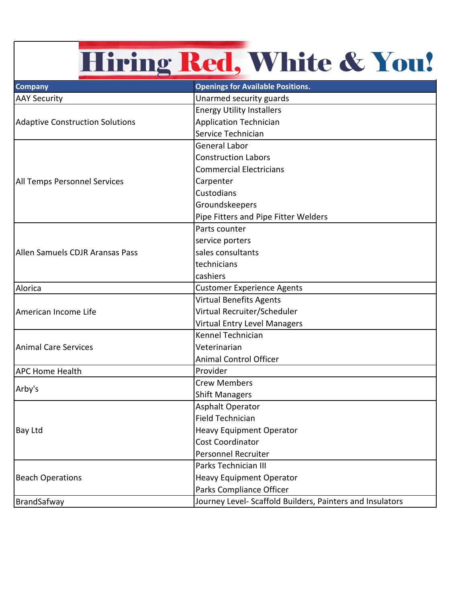## Hiring Red, White & You!

| <b>Company</b>                         | <b>Openings for Available Positions.</b>                  |
|----------------------------------------|-----------------------------------------------------------|
| <b>AAY Security</b>                    | Unarmed security guards                                   |
|                                        | <b>Energy Utility Installers</b>                          |
| <b>Adaptive Construction Solutions</b> | <b>Application Technician</b>                             |
|                                        | Service Technician                                        |
|                                        | <b>General Labor</b>                                      |
|                                        | <b>Construction Labors</b>                                |
|                                        | <b>Commercial Electricians</b>                            |
| <b>All Temps Personnel Services</b>    | Carpenter                                                 |
|                                        | Custodians                                                |
|                                        | Groundskeepers                                            |
|                                        | Pipe Fitters and Pipe Fitter Welders                      |
|                                        | Parts counter                                             |
|                                        | service porters                                           |
| Allen Samuels CDJR Aransas Pass        | sales consultants                                         |
|                                        | technicians                                               |
|                                        | cashiers                                                  |
| Alorica                                | <b>Customer Experience Agents</b>                         |
|                                        | <b>Virtual Benefits Agents</b>                            |
| American Income Life                   | Virtual Recruiter/Scheduler                               |
|                                        | Virtual Entry Level Managers                              |
|                                        | <b>Kennel Technician</b>                                  |
| <b>Animal Care Services</b>            | Veterinarian                                              |
|                                        | <b>Animal Control Officer</b>                             |
| <b>APC Home Health</b>                 | Provider                                                  |
| Arby's                                 | <b>Crew Members</b>                                       |
|                                        | <b>Shift Managers</b>                                     |
| <b>Bay Ltd</b>                         | <b>Asphalt Operator</b>                                   |
|                                        | Field Technician                                          |
|                                        | <b>Heavy Equipment Operator</b>                           |
|                                        | Cost Coordinator                                          |
|                                        | Personnel Recruiter                                       |
| <b>Beach Operations</b>                | Parks Technician III                                      |
|                                        | <b>Heavy Equipment Operator</b>                           |
|                                        | Parks Compliance Officer                                  |
| BrandSafway                            | Journey Level- Scaffold Builders, Painters and Insulators |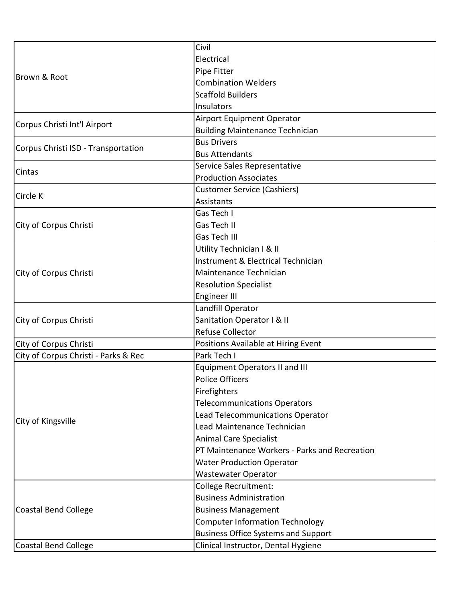|                                      | Civil                                         |
|--------------------------------------|-----------------------------------------------|
| Brown & Root                         | Electrical                                    |
|                                      | Pipe Fitter                                   |
|                                      | <b>Combination Welders</b>                    |
|                                      | <b>Scaffold Builders</b>                      |
|                                      | Insulators                                    |
| Corpus Christi Int'l Airport         | Airport Equipment Operator                    |
|                                      | <b>Building Maintenance Technician</b>        |
| Corpus Christi ISD - Transportation  | <b>Bus Drivers</b>                            |
|                                      | <b>Bus Attendants</b>                         |
|                                      | Service Sales Representative                  |
| Cintas                               | <b>Production Associates</b>                  |
|                                      | <b>Customer Service (Cashiers)</b>            |
| Circle K                             | <b>Assistants</b>                             |
|                                      | Gas Tech I                                    |
| City of Corpus Christi               | <b>Gas Tech II</b>                            |
|                                      | Gas Tech III                                  |
|                                      | Utility Technician I & II                     |
|                                      | <b>Instrument &amp; Electrical Technician</b> |
| City of Corpus Christi               | Maintenance Technician                        |
|                                      | <b>Resolution Specialist</b>                  |
|                                      | Engineer III                                  |
|                                      | Landfill Operator                             |
| City of Corpus Christi               | Sanitation Operator I & II                    |
|                                      | <b>Refuse Collector</b>                       |
| City of Corpus Christi               | Positions Available at Hiring Event           |
| City of Corpus Christi - Parks & Rec | Park Tech I                                   |
|                                      | <b>Equipment Operators II and III</b>         |
|                                      | <b>Police Officers</b>                        |
|                                      | Firefighters                                  |
| City of Kingsville                   | <b>Telecommunications Operators</b>           |
|                                      | Lead Telecommunications Operator              |
|                                      | Lead Maintenance Technician                   |
|                                      | <b>Animal Care Specialist</b>                 |
|                                      | PT Maintenance Workers - Parks and Recreation |
|                                      | <b>Water Production Operator</b>              |
|                                      | <b>Wastewater Operator</b>                    |
| <b>Coastal Bend College</b>          | College Recruitment:                          |
|                                      | <b>Business Administration</b>                |
|                                      | <b>Business Management</b>                    |
|                                      | <b>Computer Information Technology</b>        |
|                                      | <b>Business Office Systems and Support</b>    |
| <b>Coastal Bend College</b>          | Clinical Instructor, Dental Hygiene           |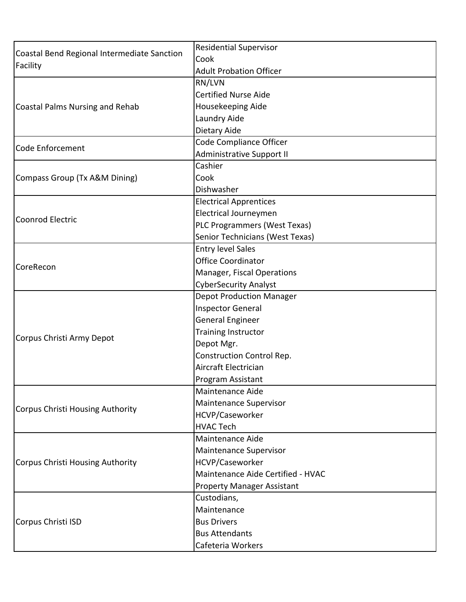|                                                         | <b>Residential Supervisor</b>     |
|---------------------------------------------------------|-----------------------------------|
| Coastal Bend Regional Intermediate Sanction<br>Facility | Cook                              |
|                                                         | <b>Adult Probation Officer</b>    |
|                                                         | RN/LVN                            |
|                                                         | <b>Certified Nurse Aide</b>       |
| <b>Coastal Palms Nursing and Rehab</b>                  | Housekeeping Aide                 |
|                                                         | Laundry Aide                      |
|                                                         | Dietary Aide                      |
|                                                         | Code Compliance Officer           |
| Code Enforcement                                        | <b>Administrative Support II</b>  |
|                                                         | Cashier                           |
| Compass Group (Tx A&M Dining)                           | Cook                              |
|                                                         | Dishwasher                        |
|                                                         | <b>Electrical Apprentices</b>     |
|                                                         | Electrical Journeymen             |
| Coonrod Electric                                        | PLC Programmers (West Texas)      |
|                                                         | Senior Technicians (West Texas)   |
|                                                         | <b>Entry level Sales</b>          |
|                                                         | <b>Office Coordinator</b>         |
| CoreRecon                                               | Manager, Fiscal Operations        |
|                                                         | <b>CyberSecurity Analyst</b>      |
|                                                         | <b>Depot Production Manager</b>   |
|                                                         | <b>Inspector General</b>          |
|                                                         | General Engineer                  |
|                                                         | <b>Training Instructor</b>        |
| Corpus Christi Army Depot                               | Depot Mgr.                        |
|                                                         | <b>Construction Control Rep.</b>  |
|                                                         | Aircraft Electrician              |
|                                                         | Program Assistant                 |
|                                                         | Maintenance Aide                  |
| Corpus Christi Housing Authority                        | Maintenance Supervisor            |
|                                                         | HCVP/Caseworker                   |
|                                                         | <b>HVAC Tech</b>                  |
|                                                         | Maintenance Aide                  |
| <b>Corpus Christi Housing Authority</b>                 | Maintenance Supervisor            |
|                                                         | HCVP/Caseworker                   |
|                                                         | Maintenance Aide Certified - HVAC |
|                                                         | <b>Property Manager Assistant</b> |
| Corpus Christi ISD                                      | Custodians,                       |
|                                                         | Maintenance                       |
|                                                         | <b>Bus Drivers</b>                |
|                                                         | <b>Bus Attendants</b>             |
|                                                         | Cafeteria Workers                 |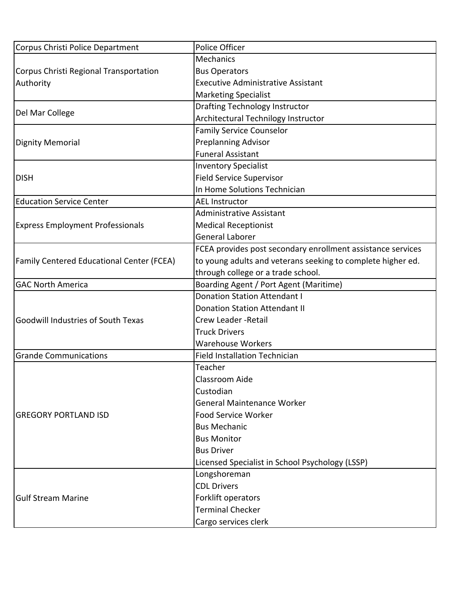| Corpus Christi Police Department          | Police Officer                                              |
|-------------------------------------------|-------------------------------------------------------------|
|                                           | <b>Mechanics</b>                                            |
| Corpus Christi Regional Transportation    | <b>Bus Operators</b>                                        |
| Authority                                 | <b>Executive Administrative Assistant</b>                   |
|                                           | <b>Marketing Specialist</b>                                 |
|                                           | <b>Drafting Technology Instructor</b>                       |
| Del Mar College                           | Architectural Technilogy Instructor                         |
|                                           | <b>Family Service Counselor</b>                             |
| <b>Dignity Memorial</b>                   | <b>Preplanning Advisor</b>                                  |
|                                           | <b>Funeral Assistant</b>                                    |
|                                           | <b>Inventory Specialist</b>                                 |
| <b>DISH</b>                               | <b>Field Service Supervisor</b>                             |
|                                           | In Home Solutions Technician                                |
| <b>Education Service Center</b>           | <b>AEL Instructor</b>                                       |
|                                           | <b>Administrative Assistant</b>                             |
| <b>Express Employment Professionals</b>   | <b>Medical Receptionist</b>                                 |
|                                           | <b>General Laborer</b>                                      |
|                                           | FCEA provides post secondary enrollment assistance services |
| Family Centered Educational Center (FCEA) | to young adults and veterans seeking to complete higher ed. |
|                                           | through college or a trade school.                          |
| <b>GAC North America</b>                  | Boarding Agent / Port Agent (Maritime)                      |
|                                           | <b>Donation Station Attendant I</b>                         |
|                                           | <b>Donation Station Attendant II</b>                        |
| Goodwill Industries of South Texas        | Crew Leader - Retail                                        |
|                                           | <b>Truck Drivers</b>                                        |
|                                           | Warehouse Workers                                           |
| <b>Grande Communications</b>              | <b>Field Installation Technician</b>                        |
| <b>GREGORY PORTLAND ISD</b>               | Teacher                                                     |
|                                           | Classroom Aide                                              |
|                                           | Custodian                                                   |
|                                           | <b>General Maintenance Worker</b>                           |
|                                           | Food Service Worker                                         |
|                                           | <b>Bus Mechanic</b>                                         |
|                                           | <b>Bus Monitor</b>                                          |
|                                           | <b>Bus Driver</b>                                           |
|                                           | Licensed Specialist in School Psychology (LSSP)             |
| <b>Gulf Stream Marine</b>                 | Longshoreman                                                |
|                                           | <b>CDL Drivers</b>                                          |
|                                           | Forklift operators                                          |
|                                           | <b>Terminal Checker</b>                                     |
|                                           | Cargo services clerk                                        |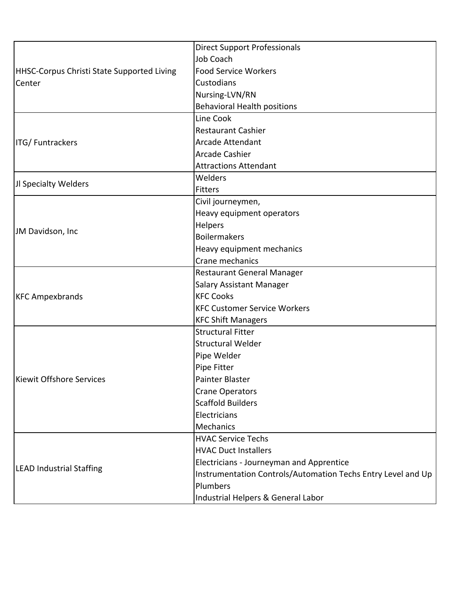|                                                      | <b>Direct Support Professionals</b>                          |
|------------------------------------------------------|--------------------------------------------------------------|
| HHSC-Corpus Christi State Supported Living<br>Center | Job Coach                                                    |
|                                                      | <b>Food Service Workers</b>                                  |
|                                                      | Custodians                                                   |
|                                                      | Nursing-LVN/RN                                               |
|                                                      | <b>Behavioral Health positions</b>                           |
|                                                      | Line Cook                                                    |
|                                                      | <b>Restaurant Cashier</b>                                    |
| ITG/Funtrackers                                      | Arcade Attendant                                             |
|                                                      | <b>Arcade Cashier</b>                                        |
|                                                      | <b>Attractions Attendant</b>                                 |
|                                                      | Welders                                                      |
| JI Specialty Welders                                 | <b>Fitters</b>                                               |
|                                                      | Civil journeymen,                                            |
|                                                      | Heavy equipment operators                                    |
|                                                      | Helpers                                                      |
| JM Davidson, Inc                                     | <b>Boilermakers</b>                                          |
|                                                      | Heavy equipment mechanics                                    |
|                                                      | Crane mechanics                                              |
|                                                      | <b>Restaurant General Manager</b>                            |
|                                                      | <b>Salary Assistant Manager</b>                              |
| <b>KFC Ampexbrands</b>                               | <b>KFC Cooks</b>                                             |
|                                                      | <b>KFC Customer Service Workers</b>                          |
|                                                      | <b>KFC Shift Managers</b>                                    |
|                                                      | <b>Structural Fitter</b>                                     |
|                                                      | <b>Structural Welder</b>                                     |
|                                                      | Pipe Welder                                                  |
|                                                      | Pipe Fitter                                                  |
| Kiewit Offshore Services                             | Painter Blaster                                              |
|                                                      | <b>Crane Operators</b>                                       |
|                                                      | <b>Scaffold Builders</b>                                     |
|                                                      | Electricians                                                 |
|                                                      | Mechanics                                                    |
| <b>LEAD Industrial Staffing</b>                      | <b>HVAC Service Techs</b>                                    |
|                                                      | <b>HVAC Duct Installers</b>                                  |
|                                                      | Electricians - Journeyman and Apprentice                     |
|                                                      | Instrumentation Controls/Automation Techs Entry Level and Up |
|                                                      | Plumbers                                                     |
|                                                      | Industrial Helpers & General Labor                           |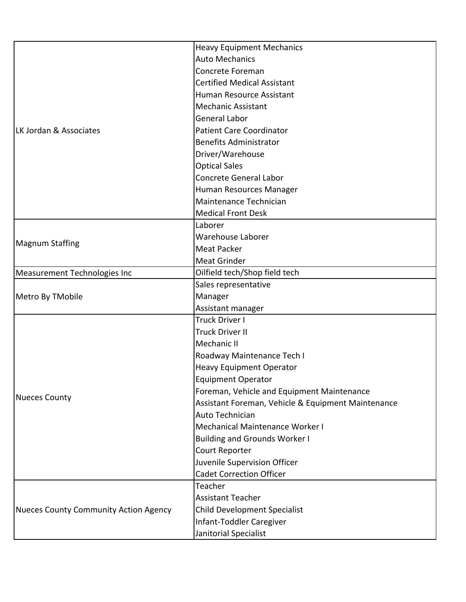|                                       | <b>Heavy Equipment Mechanics</b>                   |
|---------------------------------------|----------------------------------------------------|
|                                       | <b>Auto Mechanics</b>                              |
|                                       | Concrete Foreman                                   |
|                                       | <b>Certified Medical Assistant</b>                 |
|                                       | <b>Human Resource Assistant</b>                    |
|                                       | <b>Mechanic Assistant</b>                          |
|                                       | <b>General Labor</b>                               |
| LK Jordan & Associates                | <b>Patient Care Coordinator</b>                    |
|                                       | <b>Benefits Administrator</b>                      |
|                                       | Driver/Warehouse                                   |
|                                       | <b>Optical Sales</b>                               |
|                                       | Concrete General Labor                             |
|                                       | Human Resources Manager                            |
|                                       | Maintenance Technician                             |
|                                       | <b>Medical Front Desk</b>                          |
|                                       | Laborer                                            |
|                                       | Warehouse Laborer                                  |
| <b>Magnum Staffing</b>                | <b>Meat Packer</b>                                 |
|                                       | <b>Meat Grinder</b>                                |
| Measurement Technologies Inc          | Oilfield tech/Shop field tech                      |
|                                       | Sales representative                               |
| Metro By TMobile                      | Manager                                            |
|                                       | Assistant manager                                  |
|                                       | Truck Driver I                                     |
|                                       | <b>Truck Driver II</b>                             |
|                                       | Mechanic II                                        |
|                                       | Roadway Maintenance Tech I                         |
|                                       | <b>Heavy Equipment Operator</b>                    |
|                                       | <b>Equipment Operator</b>                          |
|                                       | Foreman, Vehicle and Equipment Maintenance         |
| Nueces County                         | Assistant Foreman, Vehicle & Equipment Maintenance |
|                                       | Auto Technician                                    |
|                                       | Mechanical Maintenance Worker I                    |
|                                       | <b>Building and Grounds Worker I</b>               |
|                                       | Court Reporter                                     |
|                                       | Juvenile Supervision Officer                       |
|                                       | <b>Cadet Correction Officer</b>                    |
| Nueces County Community Action Agency | Teacher                                            |
|                                       | <b>Assistant Teacher</b>                           |
|                                       | Child Development Specialist                       |
|                                       | Infant-Toddler Caregiver                           |
|                                       | Janitorial Specialist                              |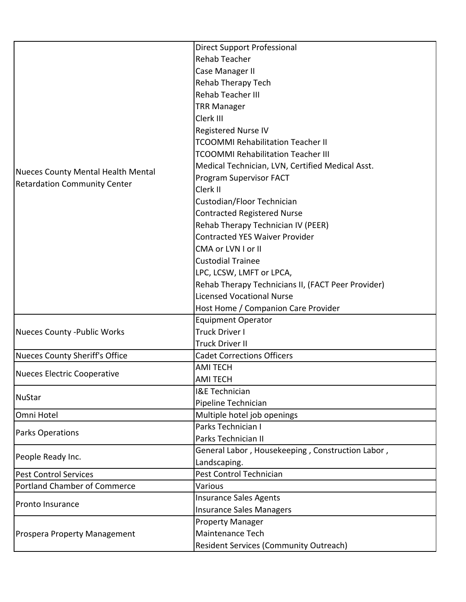|                                           | <b>Direct Support Professional</b>                 |
|-------------------------------------------|----------------------------------------------------|
|                                           | Rehab Teacher                                      |
|                                           | Case Manager II                                    |
|                                           | Rehab Therapy Tech                                 |
|                                           | <b>Rehab Teacher III</b>                           |
|                                           | <b>TRR Manager</b>                                 |
|                                           | Clerk III                                          |
|                                           | <b>Registered Nurse IV</b>                         |
|                                           | <b>TCOOMMI Rehabilitation Teacher II</b>           |
|                                           | <b>TCOOMMI Rehabilitation Teacher III</b>          |
|                                           | Medical Technician, LVN, Certified Medical Asst.   |
| <b>Nueces County Mental Health Mental</b> | Program Supervisor FACT                            |
| <b>Retardation Community Center</b>       | Clerk II                                           |
|                                           | Custodian/Floor Technician                         |
|                                           | <b>Contracted Registered Nurse</b>                 |
|                                           | Rehab Therapy Technician IV (PEER)                 |
|                                           | <b>Contracted YES Waiver Provider</b>              |
|                                           | <b>CMA or LVN I or II</b>                          |
|                                           | <b>Custodial Trainee</b>                           |
|                                           | LPC, LCSW, LMFT or LPCA,                           |
|                                           | Rehab Therapy Technicians II, (FACT Peer Provider) |
|                                           | <b>Licensed Vocational Nurse</b>                   |
|                                           | Host Home / Companion Care Provider                |
|                                           | <b>Equipment Operator</b>                          |
| <b>Nueces County - Public Works</b>       | <b>Truck Driver I</b>                              |
|                                           | <b>Truck Driver II</b>                             |
| Nueces County Sheriff's Office            | <b>Cadet Corrections Officers</b>                  |
| Nueces Electric Cooperative               | <b>AMI TECH</b>                                    |
|                                           | <b>AMI TECH</b>                                    |
| <b>NuStar</b>                             | I&E Technician                                     |
|                                           | Pipeline Technician                                |
| Omni Hotel                                | Multiple hotel job openings                        |
| Parks Operations                          | Parks Technician I                                 |
|                                           | Parks Technician II                                |
| People Ready Inc.                         | General Labor, Housekeeping, Construction Labor,   |
|                                           | Landscaping.                                       |
| <b>Pest Control Services</b>              | Pest Control Technician                            |
| <b>Portland Chamber of Commerce</b>       | Various                                            |
| Pronto Insurance                          | <b>Insurance Sales Agents</b>                      |
|                                           | <b>Insurance Sales Managers</b>                    |
| Prospera Property Management              | <b>Property Manager</b>                            |
|                                           | Maintenance Tech                                   |
|                                           | <b>Resident Services (Community Outreach)</b>      |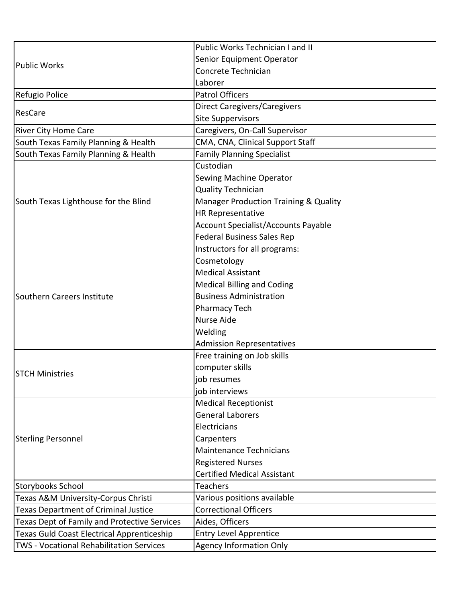| <b>Public Works</b>                             | Public Works Technician I and II           |
|-------------------------------------------------|--------------------------------------------|
|                                                 | Senior Equipment Operator                  |
|                                                 | Concrete Technician                        |
|                                                 | Laborer                                    |
| Refugio Police                                  | <b>Patrol Officers</b>                     |
|                                                 | <b>Direct Caregivers/Caregivers</b>        |
| ResCare                                         | <b>Site Suppervisors</b>                   |
| <b>River City Home Care</b>                     | Caregivers, On-Call Supervisor             |
| South Texas Family Planning & Health            | CMA, CNA, Clinical Support Staff           |
| South Texas Family Planning & Health            | <b>Family Planning Specialist</b>          |
|                                                 | Custodian                                  |
|                                                 | Sewing Machine Operator                    |
|                                                 | <b>Quality Technician</b>                  |
| South Texas Lighthouse for the Blind            | Manager Production Training & Quality      |
|                                                 | HR Representative                          |
|                                                 | <b>Account Specialist/Accounts Payable</b> |
|                                                 | <b>Federal Business Sales Rep</b>          |
|                                                 | Instructors for all programs:              |
|                                                 | Cosmetology                                |
|                                                 | <b>Medical Assistant</b>                   |
|                                                 | <b>Medical Billing and Coding</b>          |
| Southern Careers Institute                      | <b>Business Administration</b>             |
|                                                 | <b>Pharmacy Tech</b>                       |
|                                                 | Nurse Aide                                 |
|                                                 | Welding                                    |
|                                                 | <b>Admission Representatives</b>           |
|                                                 | Free training on Job skills                |
|                                                 | computer skills                            |
| <b>STCH Ministries</b>                          | liob resumes                               |
|                                                 | job interviews                             |
|                                                 | <b>Medical Receptionist</b>                |
|                                                 | <b>General Laborers</b>                    |
| <b>Sterling Personnel</b>                       | Electricians                               |
|                                                 | Carpenters                                 |
|                                                 | <b>Maintenance Technicians</b>             |
|                                                 | <b>Registered Nurses</b>                   |
|                                                 | <b>Certified Medical Assistant</b>         |
| Storybooks School                               | <b>Teachers</b>                            |
| Texas A&M University-Corpus Christi             | Various positions available                |
| <b>Texas Department of Criminal Justice</b>     | <b>Correctional Officers</b>               |
| Texas Dept of Family and Protective Services    | Aides, Officers                            |
| Texas Guld Coast Electrical Apprenticeship      | <b>Entry Level Apprentice</b>              |
| <b>TWS - Vocational Rehabilitation Services</b> | <b>Agency Information Only</b>             |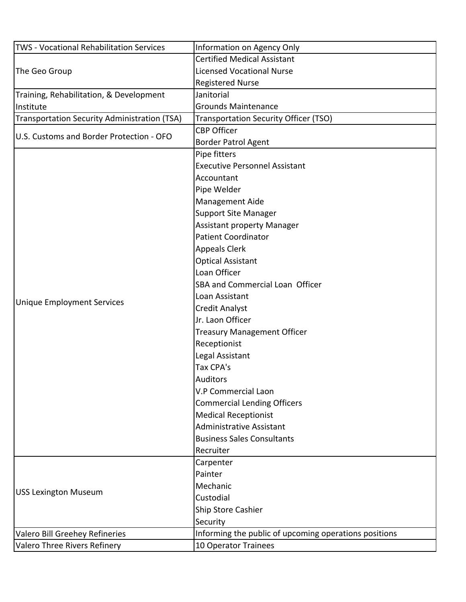| <b>TWS - Vocational Rehabilitation Services</b> | Information on Agency Only                            |
|-------------------------------------------------|-------------------------------------------------------|
| The Geo Group                                   | <b>Certified Medical Assistant</b>                    |
|                                                 | <b>Licensed Vocational Nurse</b>                      |
|                                                 | <b>Registered Nurse</b>                               |
| Training, Rehabilitation, & Development         | Janitorial                                            |
| Institute                                       | <b>Grounds Maintenance</b>                            |
| Transportation Security Administration (TSA)    | Transportation Security Officer (TSO)                 |
|                                                 | <b>CBP Officer</b>                                    |
| U.S. Customs and Border Protection - OFO        | <b>Border Patrol Agent</b>                            |
|                                                 | Pipe fitters                                          |
|                                                 | <b>Executive Personnel Assistant</b>                  |
|                                                 | Accountant                                            |
|                                                 | Pipe Welder                                           |
|                                                 | Management Aide                                       |
|                                                 | <b>Support Site Manager</b>                           |
|                                                 | <b>Assistant property Manager</b>                     |
|                                                 | <b>Patient Coordinator</b>                            |
|                                                 | <b>Appeals Clerk</b>                                  |
|                                                 | <b>Optical Assistant</b>                              |
|                                                 | Loan Officer                                          |
|                                                 | SBA and Commercial Loan Officer                       |
|                                                 | Loan Assistant                                        |
| <b>Unique Employment Services</b>               | <b>Credit Analyst</b>                                 |
|                                                 | Jr. Laon Officer                                      |
|                                                 | <b>Treasury Management Officer</b>                    |
|                                                 | Receptionist                                          |
|                                                 | Legal Assistant                                       |
|                                                 | Tax CPA's                                             |
|                                                 | <b>Auditors</b>                                       |
|                                                 | V.P Commercial Laon                                   |
|                                                 | <b>Commercial Lending Officers</b>                    |
|                                                 | <b>Medical Receptionist</b>                           |
|                                                 | <b>Administrative Assistant</b>                       |
|                                                 | <b>Business Sales Consultants</b>                     |
|                                                 | Recruiter                                             |
| <b>USS Lexington Museum</b>                     | Carpenter                                             |
|                                                 | Painter                                               |
|                                                 | Mechanic                                              |
|                                                 | Custodial                                             |
|                                                 | Ship Store Cashier                                    |
|                                                 | Security                                              |
| Valero Bill Greehey Refineries                  | Informing the public of upcoming operations positions |
| Valero Three Rivers Refinery                    | 10 Operator Trainees                                  |